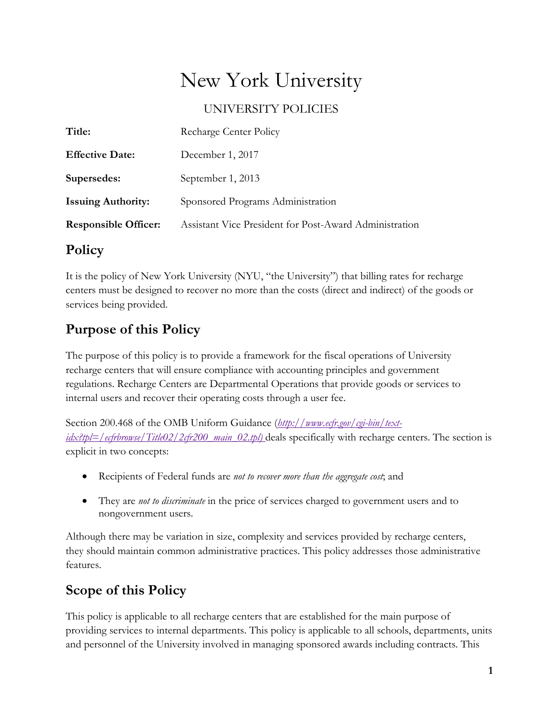# New York University

UNIVERSITY POLICIES

| Title:                      | Recharge Center Policy                                 |
|-----------------------------|--------------------------------------------------------|
| <b>Effective Date:</b>      | December 1, 2017                                       |
| Supersedes:                 | September 1, 2013                                      |
| <b>Issuing Authority:</b>   | Sponsored Programs Administration                      |
| <b>Responsible Officer:</b> | Assistant Vice President for Post-Award Administration |

### **Policy**

It is the policy of New York University (NYU, "the University") that billing rates for recharge centers must be designed to recover no more than the costs (direct and indirect) of the goods or services being provided.

# **Purpose of this Policy**

The purpose of this policy is to provide a framework for the fiscal operations of University recharge centers that will ensure compliance with accounting principles and government regulations. Recharge Centers are Departmental Operations that provide goods or services to internal users and recover their operating costs through a user fee.

Section 200.468 of the OMB Uniform Guidance (*[http://www.ecfr.gov/cgi-bin/text](http://www.ecfr.gov/cgi-bin/text-idx?tpl=/ecfrbrowse/Title02/2cfr200_main_02.tpl)[idx?tpl=/ecfrbrowse/Title02/2cfr200\\_main\\_02.tpl\)](http://www.ecfr.gov/cgi-bin/text-idx?tpl=/ecfrbrowse/Title02/2cfr200_main_02.tpl)* deals specifically with recharge centers. The section is explicit in two concepts:

- Recipients of Federal funds are *not to recover more than the aggregate cost*; and
- They are *not to discriminate* in the price of services charged to government users and to nongovernment users.

Although there may be variation in size, complexity and services provided by recharge centers, they should maintain common administrative practices. This policy addresses those administrative features.

## **Scope of this Policy**

This policy is applicable to all recharge centers that are established for the main purpose of providing services to internal departments. This policy is applicable to all schools, departments, units and personnel of the University involved in managing sponsored awards including contracts. This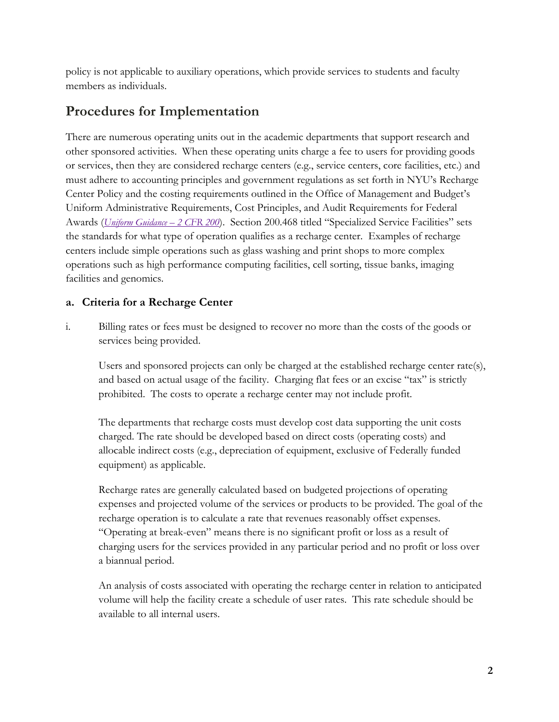policy is not applicable to auxiliary operations, which provide services to students and faculty members as individuals.

### **Procedures for Implementation**

There are numerous operating units out in the academic departments that support research and other sponsored activities. When these operating units charge a fee to users for providing goods or services, then they are considered recharge centers (e.g., service centers, core facilities, etc.) and must adhere to accounting principles and government regulations as set forth in NYU's Recharge Center Policy and the costing requirements outlined in the Office of Management and Budget's Uniform Administrative Requirements, Cost Principles, and Audit Requirements for Federal Awards (*[Uniform Guidance –](https://www.ecfr.gov/cgi-bin/text-idx?tpl=/ecfrbrowse/Title02/2cfr200_main_02.tpl) 2 CFR 200*). Section 200.468 titled "Specialized Service Facilities" sets the standards for what type of operation qualifies as a recharge center. Examples of recharge centers include simple operations such as glass washing and print shops to more complex operations such as high performance computing facilities, cell sorting, tissue banks, imaging facilities and genomics.

### **a. Criteria for a Recharge Center**

i. Billing rates or fees must be designed to recover no more than the costs of the goods or services being provided.

Users and sponsored projects can only be charged at the established recharge center rate(s), and based on actual usage of the facility. Charging flat fees or an excise "tax" is strictly prohibited. The costs to operate a recharge center may not include profit.

The departments that recharge costs must develop cost data supporting the unit costs charged. The rate should be developed based on direct costs (operating costs) and allocable indirect costs (e.g., depreciation of equipment, exclusive of Federally funded equipment) as applicable.

Recharge rates are generally calculated based on budgeted projections of operating expenses and projected volume of the services or products to be provided. The goal of the recharge operation is to calculate a rate that revenues reasonably offset expenses. "Operating at break-even" means there is no significant profit or loss as a result of charging users for the services provided in any particular period and no profit or loss over a biannual period.

An analysis of costs associated with operating the recharge center in relation to anticipated volume will help the facility create a schedule of user rates. This rate schedule should be available to all internal users.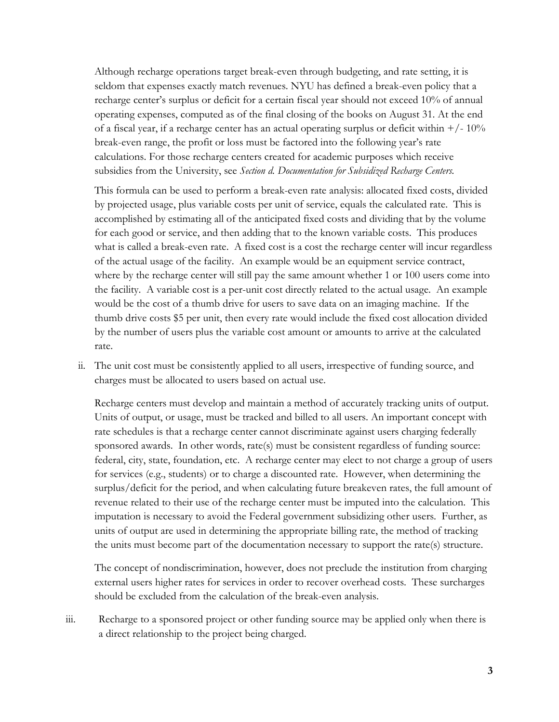Although recharge operations target break-even through budgeting, and rate setting, it is seldom that expenses exactly match revenues. NYU has defined a break-even policy that a recharge center's surplus or deficit for a certain fiscal year should not exceed 10% of annual operating expenses, computed as of the final closing of the books on August 31. At the end of a fiscal year, if a recharge center has an actual operating surplus or deficit within  $+/-10\%$ break-even range, the profit or loss must be factored into the following year's rate calculations. For those recharge centers created for academic purposes which receive subsidies from the University, see *Section d. Documentation for Subsidized Recharge Centers.*

This formula can be used to perform a break-even rate analysis: allocated fixed costs, divided by projected usage, plus variable costs per unit of service, equals the calculated rate. This is accomplished by estimating all of the anticipated fixed costs and dividing that by the volume for each good or service, and then adding that to the known variable costs. This produces what is called a break-even rate. A fixed cost is a cost the recharge center will incur regardless of the actual usage of the facility. An example would be an equipment service contract, where by the recharge center will still pay the same amount whether 1 or 100 users come into the facility. A variable cost is a per-unit cost directly related to the actual usage. An example would be the cost of a thumb drive for users to save data on an imaging machine. If the thumb drive costs \$5 per unit, then every rate would include the fixed cost allocation divided by the number of users plus the variable cost amount or amounts to arrive at the calculated rate.

ii. The unit cost must be consistently applied to all users, irrespective of funding source, and charges must be allocated to users based on actual use.

Recharge centers must develop and maintain a method of accurately tracking units of output. Units of output, or usage, must be tracked and billed to all users. An important concept with rate schedules is that a recharge center cannot discriminate against users charging federally sponsored awards. In other words, rate(s) must be consistent regardless of funding source: federal, city, state, foundation, etc. A recharge center may elect to not charge a group of users for services (e.g., students) or to charge a discounted rate. However, when determining the surplus/deficit for the period, and when calculating future breakeven rates, the full amount of revenue related to their use of the recharge center must be imputed into the calculation. This imputation is necessary to avoid the Federal government subsidizing other users. Further, as units of output are used in determining the appropriate billing rate, the method of tracking the units must become part of the documentation necessary to support the rate(s) structure.

The concept of nondiscrimination, however, does not preclude the institution from charging external users higher rates for services in order to recover overhead costs. These surcharges should be excluded from the calculation of the break-even analysis.

iii. Recharge to a sponsored project or other funding source may be applied only when there is a direct relationship to the project being charged.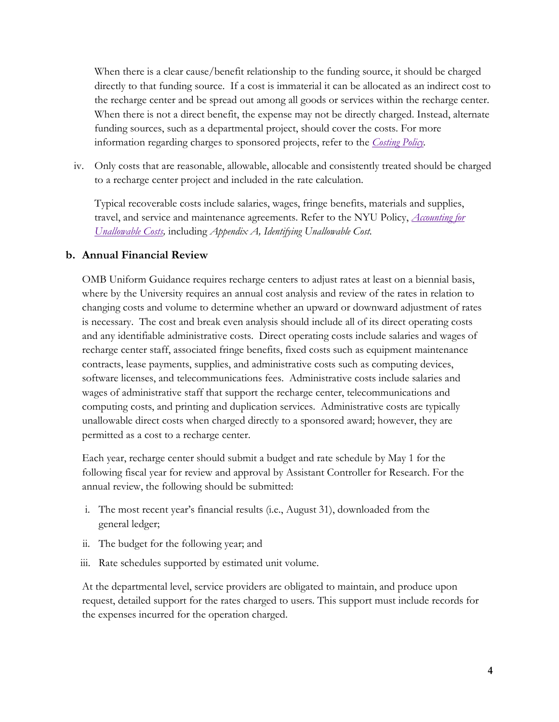When there is a clear cause/benefit relationship to the funding source, it should be charged directly to that funding source. If a cost is immaterial it can be allocated as an indirect cost to the recharge center and be spread out among all goods or services within the recharge center. When there is not a direct benefit, the expense may not be directly charged. Instead, alternate funding sources, such as a departmental project, should cover the costs. For more information regarding charges to sponsored projects, refer to the *[Costing Policy.](http://www.nyu.edu/about/policies-guidelines-compliance/policies-and-guidelines/costing-policy.html)*

iv. Only costs that are reasonable, allowable, allocable and consistently treated should be charged to a recharge center project and included in the rate calculation.

Typical recoverable costs include salaries, wages, fringe benefits, materials and supplies, travel, and service and maintenance agreements. Refer to the NYU Policy, *[Accounting](http://www.nyu.edu/about/policies-guidelines-compliance/policies-and-guidelines/accounting-for-unallowable-costs-policy.html) for [Unallowable Costs,](http://www.nyu.edu/about/policies-guidelines-compliance/policies-and-guidelines/accounting-for-unallowable-costs-policy.html)* including *Appendix A, Identifying Unallowable Cost.*

#### **b. Annual Financial Review**

OMB Uniform Guidance requires recharge centers to adjust rates at least on a biennial basis, where by the University requires an annual cost analysis and review of the rates in relation to changing costs and volume to determine whether an upward or downward adjustment of rates is necessary. The cost and break even analysis should include all of its direct operating costs and any identifiable administrative costs. Direct operating costs include salaries and wages of recharge center staff, associated fringe benefits, fixed costs such as equipment maintenance contracts, lease payments, supplies, and administrative costs such as computing devices, software licenses, and telecommunications fees. Administrative costs include salaries and wages of administrative staff that support the recharge center, telecommunications and computing costs, and printing and duplication services. Administrative costs are typically unallowable direct costs when charged directly to a sponsored award; however, they are permitted as a cost to a recharge center.

Each year, recharge center should submit a budget and rate schedule by May 1 for the following fiscal year for review and approval by Assistant Controller for Research. For the annual review, the following should be submitted:

- i. The most recent year's financial results (i.e., August 31), downloaded from the general ledger;
- ii. The budget for the following year; and
- iii. Rate schedules supported by estimated unit volume.

At the departmental level, service providers are obligated to maintain, and produce upon request, detailed support for the rates charged to users. This support must include records for the expenses incurred for the operation charged.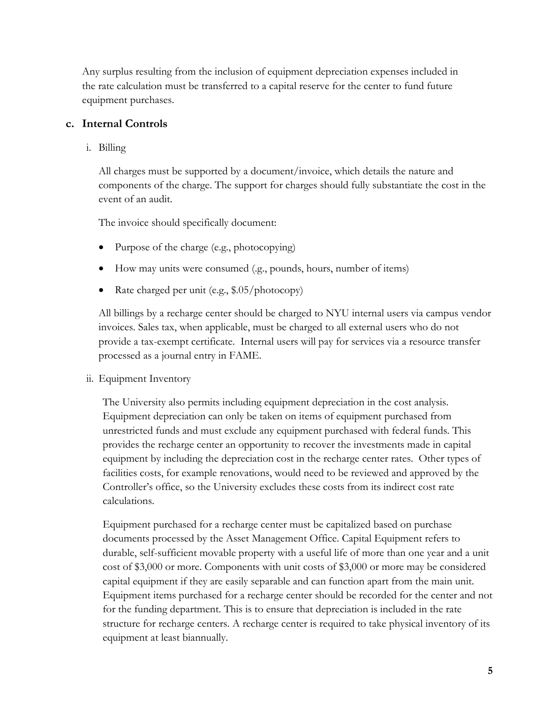Any surplus resulting from the inclusion of equipment depreciation expenses included in the rate calculation must be transferred to a capital reserve for the center to fund future equipment purchases.

#### **c. Internal Controls**

i. Billing

All charges must be supported by a document/invoice, which details the nature and components of the charge. The support for charges should fully substantiate the cost in the event of an audit.

The invoice should specifically document:

- Purpose of the charge (e.g., photocopying)
- How may units were consumed (g., pounds, hours, number of items)
- Rate charged per unit (e.g., \$.05/photocopy)

All billings by a recharge center should be charged to NYU internal users via campus vendor invoices. Sales tax, when applicable, must be charged to all external users who do not provide a tax-exempt certificate. Internal users will pay for services via a resource transfer processed as a journal entry in FAME.

ii. Equipment Inventory

The University also permits including equipment depreciation in the cost analysis. Equipment depreciation can only be taken on items of equipment purchased from unrestricted funds and must exclude any equipment purchased with federal funds. This provides the recharge center an opportunity to recover the investments made in capital equipment by including the depreciation cost in the recharge center rates. Other types of facilities costs, for example renovations, would need to be reviewed and approved by the Controller's office, so the University excludes these costs from its indirect cost rate calculations.

Equipment purchased for a recharge center must be capitalized based on purchase documents processed by the Asset Management Office. Capital Equipment refers to durable, self-sufficient movable property with a useful life of more than one year and a unit cost of \$3,000 or more. Components with unit costs of \$3,000 or more may be considered capital equipment if they are easily separable and can function apart from the main unit. Equipment items purchased for a recharge center should be recorded for the center and not for the funding department. This is to ensure that depreciation is included in the rate structure for recharge centers. A recharge center is required to take physical inventory of its equipment at least biannually.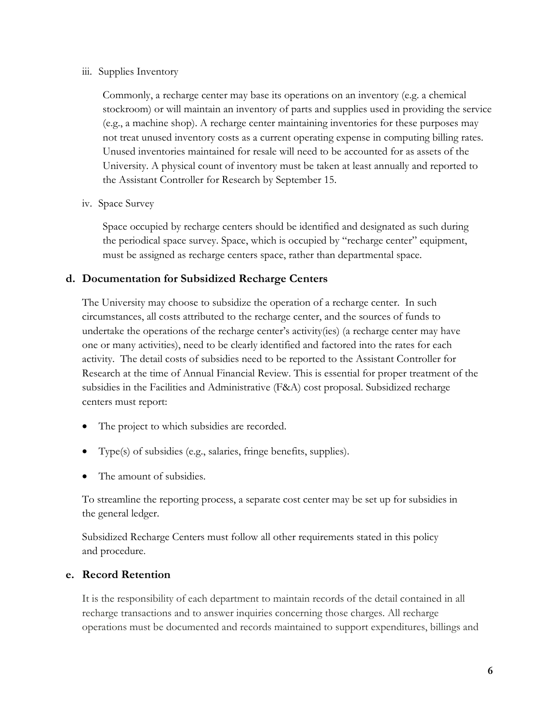#### iii. Supplies Inventory

Commonly, a recharge center may base its operations on an inventory (e.g. a chemical stockroom) or will maintain an inventory of parts and supplies used in providing the service (e.g., a machine shop). A recharge center maintaining inventories for these purposes may not treat unused inventory costs as a current operating expense in computing billing rates. Unused inventories maintained for resale will need to be accounted for as assets of the University. A physical count of inventory must be taken at least annually and reported to the Assistant Controller for Research by September 15.

#### iv. Space Survey

Space occupied by recharge centers should be identified and designated as such during the periodical space survey. Space, which is occupied by "recharge center" equipment, must be assigned as recharge centers space, rather than departmental space.

#### **d. Documentation for Subsidized Recharge Centers**

The University may choose to subsidize the operation of a recharge center. In such circumstances, all costs attributed to the recharge center, and the sources of funds to undertake the operations of the recharge center's activity(ies) (a recharge center may have one or many activities), need to be clearly identified and factored into the rates for each activity. The detail costs of subsidies need to be reported to the Assistant Controller for Research at the time of Annual Financial Review. This is essential for proper treatment of the subsidies in the Facilities and Administrative (F&A) cost proposal. Subsidized recharge centers must report:

- The project to which subsidies are recorded.
- Type(s) of subsidies (e.g., salaries, fringe benefits, supplies).
- The amount of subsidies.

To streamline the reporting process, a separate cost center may be set up for subsidies in the general ledger.

Subsidized Recharge Centers must follow all other requirements stated in this policy and procedure.

#### **e. Record Retention**

It is the responsibility of each department to maintain records of the detail contained in all recharge transactions and to answer inquiries concerning those charges. All recharge operations must be documented and records maintained to support expenditures, billings and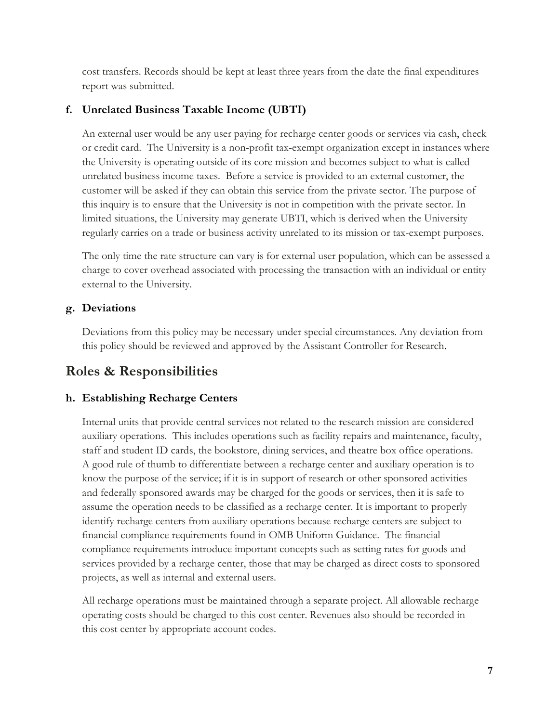cost transfers. Records should be kept at least three years from the date the final expenditures report was submitted.

### **f. Unrelated Business Taxable Income (UBTI)**

An external user would be any user paying for recharge center goods or services via cash, check or credit card. The University is a non-profit tax-exempt organization except in instances where the University is operating outside of its core mission and becomes subject to what is called unrelated business income taxes. Before a service is provided to an external customer, the customer will be asked if they can obtain this service from the private sector. The purpose of this inquiry is to ensure that the University is not in competition with the private sector. In limited situations, the University may generate UBTI, which is derived when the University regularly carries on a trade or business activity unrelated to its mission or tax-exempt purposes.

The only time the rate structure can vary is for external user population, which can be assessed a charge to cover overhead associated with processing the transaction with an individual or entity external to the University.

### **g. Deviations**

Deviations from this policy may be necessary under special circumstances. Any deviation from this policy should be reviewed and approved by the Assistant Controller for Research.

### **Roles & Responsibilities**

### **h. Establishing Recharge Centers**

Internal units that provide central services not related to the research mission are considered auxiliary operations. This includes operations such as facility repairs and maintenance, faculty, staff and student ID cards, the bookstore, dining services, and theatre box office operations. A good rule of thumb to differentiate between a recharge center and auxiliary operation is to know the purpose of the service; if it is in support of research or other sponsored activities and federally sponsored awards may be charged for the goods or services, then it is safe to assume the operation needs to be classified as a recharge center. It is important to properly identify recharge centers from auxiliary operations because recharge centers are subject to financial compliance requirements found in OMB Uniform Guidance. The financial compliance requirements introduce important concepts such as setting rates for goods and services provided by a recharge center, those that may be charged as direct costs to sponsored projects, as well as internal and external users.

All recharge operations must be maintained through a separate project. All allowable recharge operating costs should be charged to this cost center. Revenues also should be recorded in this cost center by appropriate account codes.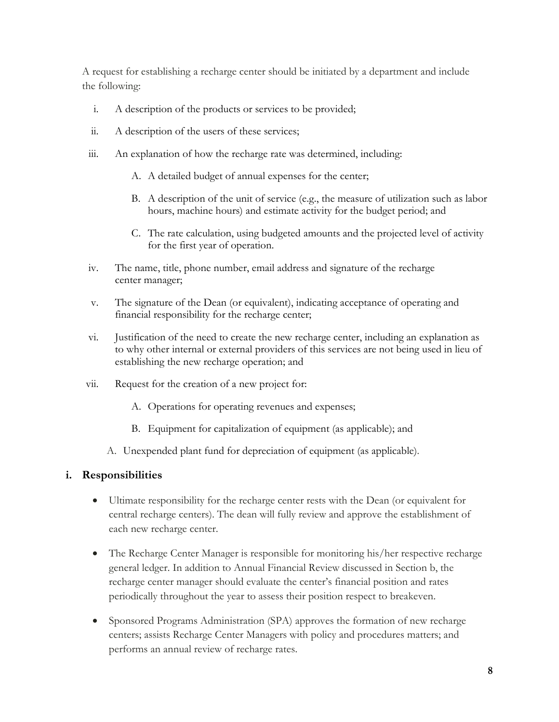A request for establishing a recharge center should be initiated by a department and include the following:

- i. A description of the products or services to be provided;
- ii. A description of the users of these services;
- iii. An explanation of how the recharge rate was determined, including:
	- A. A detailed budget of annual expenses for the center;
	- B. A description of the unit of service (e.g., the measure of utilization such as labor hours, machine hours) and estimate activity for the budget period; and
	- C. The rate calculation, using budgeted amounts and the projected level of activity for the first year of operation.
- iv. The name, title, phone number, email address and signature of the recharge center manager;
- v. The signature of the Dean (or equivalent), indicating acceptance of operating and financial responsibility for the recharge center;
- vi. Justification of the need to create the new recharge center, including an explanation as to why other internal or external providers of this services are not being used in lieu of establishing the new recharge operation; and
- vii. Request for the creation of a new project for:
	- A. Operations for operating revenues and expenses;
	- B. Equipment for capitalization of equipment (as applicable); and
	- A. Unexpended plant fund for depreciation of equipment (as applicable).

### **i. Responsibilities**

- Ultimate responsibility for the recharge center rests with the Dean (or equivalent for central recharge centers). The dean will fully review and approve the establishment of each new recharge center.
- The Recharge Center Manager is responsible for monitoring his/her respective recharge general ledger. In addition to Annual Financial Review discussed in Section b, the recharge center manager should evaluate the center's financial position and rates periodically throughout the year to assess their position respect to breakeven.
- Sponsored Programs Administration (SPA) approves the formation of new recharge centers; assists Recharge Center Managers with policy and procedures matters; and performs an annual review of recharge rates.